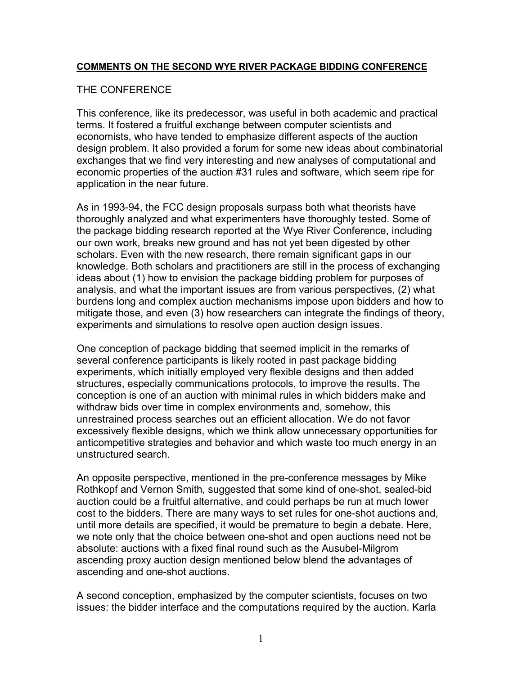### **COMMENTS ON THE SECOND WYE RIVER PACKAGE BIDDING CONFERENCE**

### THE CONFERENCE

This conference, like its predecessor, was useful in both academic and practical terms. It fostered a fruitful exchange between computer scientists and economists, who have tended to emphasize different aspects of the auction design problem. It also provided a forum for some new ideas about combinatorial exchanges that we find very interesting and new analyses of computational and economic properties of the auction #31 rules and software, which seem ripe for application in the near future.

As in 1993-94, the FCC design proposals surpass both what theorists have thoroughly analyzed and what experimenters have thoroughly tested. Some of the package bidding research reported at the Wye River Conference, including our own work, breaks new ground and has not yet been digested by other scholars. Even with the new research, there remain significant gaps in our knowledge. Both scholars and practitioners are still in the process of exchanging ideas about (1) how to envision the package bidding problem for purposes of analysis, and what the important issues are from various perspectives, (2) what burdens long and complex auction mechanisms impose upon bidders and how to mitigate those, and even (3) how researchers can integrate the findings of theory, experiments and simulations to resolve open auction design issues.

One conception of package bidding that seemed implicit in the remarks of several conference participants is likely rooted in past package bidding experiments, which initially employed very flexible designs and then added structures, especially communications protocols, to improve the results. The conception is one of an auction with minimal rules in which bidders make and withdraw bids over time in complex environments and, somehow, this unrestrained process searches out an efficient allocation. We do not favor excessively flexible designs, which we think allow unnecessary opportunities for anticompetitive strategies and behavior and which waste too much energy in an unstructured search.

An opposite perspective, mentioned in the pre-conference messages by Mike Rothkopf and Vernon Smith, suggested that some kind of one-shot, sealed-bid auction could be a fruitful alternative, and could perhaps be run at much lower cost to the bidders. There are many ways to set rules for one-shot auctions and, until more details are specified, it would be premature to begin a debate. Here, we note only that the choice between one-shot and open auctions need not be absolute: auctions with a fixed final round such as the Ausubel-Milgrom ascending proxy auction design mentioned below blend the advantages of ascending and one-shot auctions.

A second conception, emphasized by the computer scientists, focuses on two issues: the bidder interface and the computations required by the auction. Karla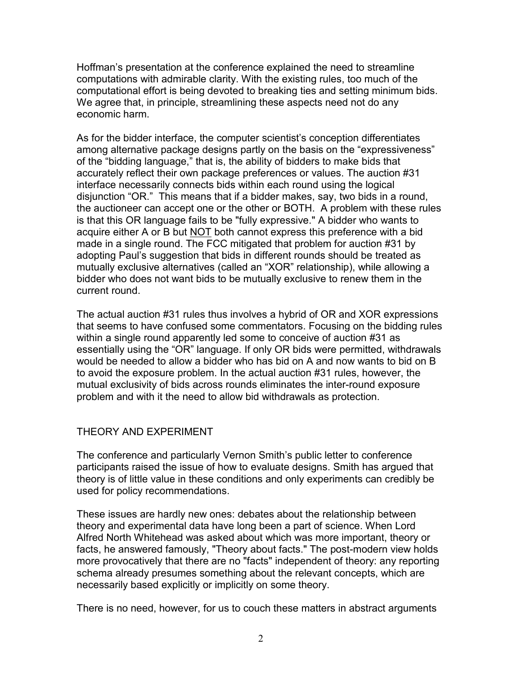Hoffman's presentation at the conference explained the need to streamline computations with admirable clarity. With the existing rules, too much of the computational effort is being devoted to breaking ties and setting minimum bids. We agree that, in principle, streamlining these aspects need not do any economic harm.

As for the bidder interface, the computer scientist's conception differentiates among alternative package designs partly on the basis on the "expressiveness" of the "bidding language," that is, the ability of bidders to make bids that accurately reflect their own package preferences or values. The auction #31 interface necessarily connects bids within each round using the logical disjunction "OR." This means that if a bidder makes, say, two bids in a round, the auctioneer can accept one or the other or BOTH. A problem with these rules is that this OR language fails to be "fully expressive." A bidder who wants to acquire either A or B but NOT both cannot express this preference with a bid made in a single round. The FCC mitigated that problem for auction #31 by adopting Paul's suggestion that bids in different rounds should be treated as mutually exclusive alternatives (called an "XOR" relationship), while allowing a bidder who does not want bids to be mutually exclusive to renew them in the current round.

The actual auction #31 rules thus involves a hybrid of OR and XOR expressions that seems to have confused some commentators. Focusing on the bidding rules within a single round apparently led some to conceive of auction #31 as essentially using the "OR" language. If only OR bids were permitted, withdrawals would be needed to allow a bidder who has bid on A and now wants to bid on B to avoid the exposure problem. In the actual auction #31 rules, however, the mutual exclusivity of bids across rounds eliminates the inter-round exposure problem and with it the need to allow bid withdrawals as protection.

# THEORY AND EXPERIMENT

The conference and particularly Vernon Smith's public letter to conference participants raised the issue of how to evaluate designs. Smith has argued that theory is of little value in these conditions and only experiments can credibly be used for policy recommendations.

These issues are hardly new ones: debates about the relationship between theory and experimental data have long been a part of science. When Lord Alfred North Whitehead was asked about which was more important, theory or facts, he answered famously, "Theory about facts." The post-modern view holds more provocatively that there are no "facts" independent of theory: any reporting schema already presumes something about the relevant concepts, which are necessarily based explicitly or implicitly on some theory.

There is no need, however, for us to couch these matters in abstract arguments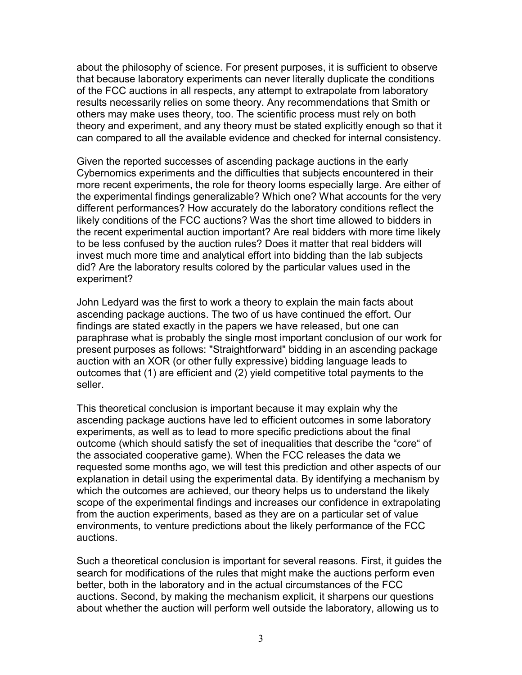about the philosophy of science. For present purposes, it is sufficient to observe that because laboratory experiments can never literally duplicate the conditions of the FCC auctions in all respects, any attempt to extrapolate from laboratory results necessarily relies on some theory. Any recommendations that Smith or others may make uses theory, too. The scientific process must rely on both theory and experiment, and any theory must be stated explicitly enough so that it can compared to all the available evidence and checked for internal consistency.

Given the reported successes of ascending package auctions in the early Cybernomics experiments and the difficulties that subjects encountered in their more recent experiments, the role for theory looms especially large. Are either of the experimental findings generalizable? Which one? What accounts for the very different performances? How accurately do the laboratory conditions reflect the likely conditions of the FCC auctions? Was the short time allowed to bidders in the recent experimental auction important? Are real bidders with more time likely to be less confused by the auction rules? Does it matter that real bidders will invest much more time and analytical effort into bidding than the lab subjects did? Are the laboratory results colored by the particular values used in the experiment?

John Ledyard was the first to work a theory to explain the main facts about ascending package auctions. The two of us have continued the effort. Our findings are stated exactly in the papers we have released, but one can paraphrase what is probably the single most important conclusion of our work for present purposes as follows: "Straightforward" bidding in an ascending package auction with an XOR (or other fully expressive) bidding language leads to outcomes that (1) are efficient and (2) yield competitive total payments to the seller.

This theoretical conclusion is important because it may explain why the ascending package auctions have led to efficient outcomes in some laboratory experiments, as well as to lead to more specific predictions about the final outcome (which should satisfy the set of inequalities that describe the "core" of the associated cooperative game). When the FCC releases the data we requested some months ago, we will test this prediction and other aspects of our explanation in detail using the experimental data. By identifying a mechanism by which the outcomes are achieved, our theory helps us to understand the likely scope of the experimental findings and increases our confidence in extrapolating from the auction experiments, based as they are on a particular set of value environments, to venture predictions about the likely performance of the FCC auctions.

Such a theoretical conclusion is important for several reasons. First, it guides the search for modifications of the rules that might make the auctions perform even better, both in the laboratory and in the actual circumstances of the FCC auctions. Second, by making the mechanism explicit, it sharpens our questions about whether the auction will perform well outside the laboratory, allowing us to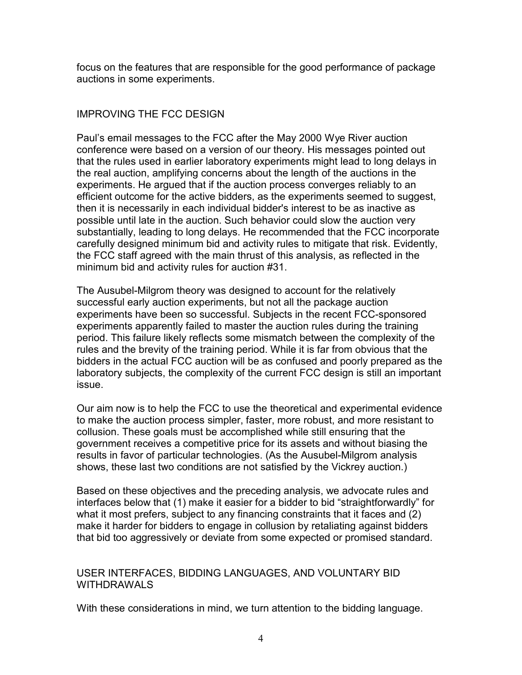focus on the features that are responsible for the good performance of package auctions in some experiments.

## IMPROVING THE FCC DESIGN

Paul's email messages to the FCC after the May 2000 Wye River auction conference were based on a version of our theory. His messages pointed out that the rules used in earlier laboratory experiments might lead to long delays in the real auction, amplifying concerns about the length of the auctions in the experiments. He argued that if the auction process converges reliably to an efficient outcome for the active bidders, as the experiments seemed to suggest, then it is necessarily in each individual bidder's interest to be as inactive as possible until late in the auction. Such behavior could slow the auction very substantially, leading to long delays. He recommended that the FCC incorporate carefully designed minimum bid and activity rules to mitigate that risk. Evidently, the FCC staff agreed with the main thrust of this analysis, as reflected in the minimum bid and activity rules for auction #31.

The Ausubel-Milgrom theory was designed to account for the relatively successful early auction experiments, but not all the package auction experiments have been so successful. Subjects in the recent FCC-sponsored experiments apparently failed to master the auction rules during the training period. This failure likely reflects some mismatch between the complexity of the rules and the brevity of the training period. While it is far from obvious that the bidders in the actual FCC auction will be as confused and poorly prepared as the laboratory subjects, the complexity of the current FCC design is still an important issue.

Our aim now is to help the FCC to use the theoretical and experimental evidence to make the auction process simpler, faster, more robust, and more resistant to collusion. These goals must be accomplished while still ensuring that the government receives a competitive price for its assets and without biasing the results in favor of particular technologies. (As the Ausubel-Milgrom analysis shows, these last two conditions are not satisfied by the Vickrey auction.)

Based on these objectives and the preceding analysis, we advocate rules and interfaces below that (1) make it easier for a bidder to bid "straightforwardly" for what it most prefers, subject to any financing constraints that it faces and (2) make it harder for bidders to engage in collusion by retaliating against bidders that bid too aggressively or deviate from some expected or promised standard.

## USER INTERFACES, BIDDING LANGUAGES, AND VOLUNTARY BID WITHDRAWALS

With these considerations in mind, we turn attention to the bidding language.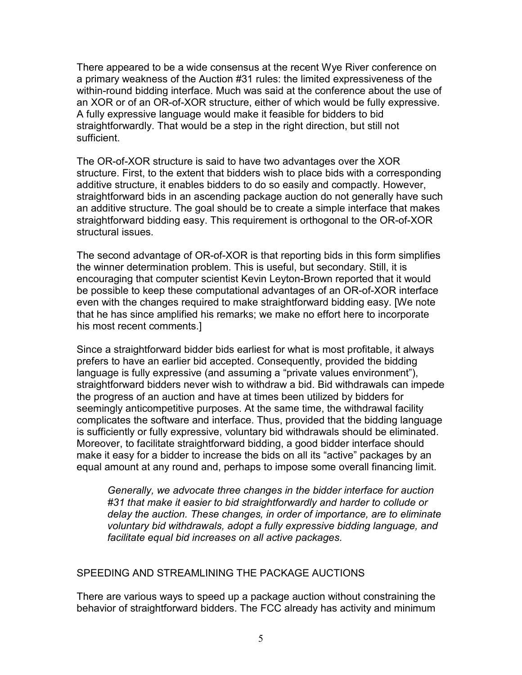There appeared to be a wide consensus at the recent Wye River conference on a primary weakness of the Auction #31 rules: the limited expressiveness of the within-round bidding interface. Much was said at the conference about the use of an XOR or of an OR-of-XOR structure, either of which would be fully expressive. A fully expressive language would make it feasible for bidders to bid straightforwardly. That would be a step in the right direction, but still not sufficient.

The OR-of-XOR structure is said to have two advantages over the XOR structure. First, to the extent that bidders wish to place bids with a corresponding additive structure, it enables bidders to do so easily and compactly. However, straightforward bids in an ascending package auction do not generally have such an additive structure. The goal should be to create a simple interface that makes straightforward bidding easy. This requirement is orthogonal to the OR-of-XOR structural issues.

The second advantage of OR-of-XOR is that reporting bids in this form simplifies the winner determination problem. This is useful, but secondary. Still, it is encouraging that computer scientist Kevin Leyton-Brown reported that it would be possible to keep these computational advantages of an OR-of-XOR interface even with the changes required to make straightforward bidding easy. [We note that he has since amplified his remarks; we make no effort here to incorporate his most recent comments.]

Since a straightforward bidder bids earliest for what is most profitable, it always prefers to have an earlier bid accepted. Consequently, provided the bidding language is fully expressive (and assuming a "private values environment"), straightforward bidders never wish to withdraw a bid. Bid withdrawals can impede the progress of an auction and have at times been utilized by bidders for seemingly anticompetitive purposes. At the same time, the withdrawal facility complicates the software and interface. Thus, provided that the bidding language is sufficiently or fully expressive, voluntary bid withdrawals should be eliminated. Moreover, to facilitate straightforward bidding, a good bidder interface should make it easy for a bidder to increase the bids on all its "active" packages by an equal amount at any round and, perhaps to impose some overall financing limit.

*Generally, we advocate three changes in the bidder interface for auction #31 that make it easier to bid straightforwardly and harder to collude or delay the auction. These changes, in order of importance, are to eliminate voluntary bid withdrawals, adopt a fully expressive bidding language, and facilitate equal bid increases on all active packages.*

## SPEEDING AND STREAMLINING THE PACKAGE AUCTIONS

There are various ways to speed up a package auction without constraining the behavior of straightforward bidders. The FCC already has activity and minimum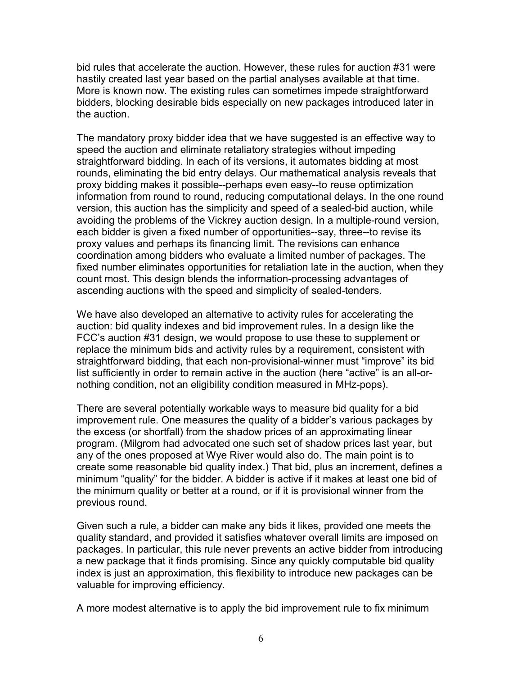bid rules that accelerate the auction. However, these rules for auction #31 were hastily created last year based on the partial analyses available at that time. More is known now. The existing rules can sometimes impede straightforward bidders, blocking desirable bids especially on new packages introduced later in the auction.

The mandatory proxy bidder idea that we have suggested is an effective way to speed the auction and eliminate retaliatory strategies without impeding straightforward bidding. In each of its versions, it automates bidding at most rounds, eliminating the bid entry delays. Our mathematical analysis reveals that proxy bidding makes it possible--perhaps even easy--to reuse optimization information from round to round, reducing computational delays. In the one round version, this auction has the simplicity and speed of a sealed-bid auction, while avoiding the problems of the Vickrey auction design. In a multiple-round version, each bidder is given a fixed number of opportunities--say, three--to revise its proxy values and perhaps its financing limit. The revisions can enhance coordination among bidders who evaluate a limited number of packages. The fixed number eliminates opportunities for retaliation late in the auction, when they count most. This design blends the information-processing advantages of ascending auctions with the speed and simplicity of sealed-tenders.

We have also developed an alternative to activity rules for accelerating the auction: bid quality indexes and bid improvement rules. In a design like the FCC's auction #31 design, we would propose to use these to supplement or replace the minimum bids and activity rules by a requirement, consistent with straightforward bidding, that each non-provisional-winner must "improve" its bid list sufficiently in order to remain active in the auction (here "active" is an all-ornothing condition, not an eligibility condition measured in MHz-pops).

There are several potentially workable ways to measure bid quality for a bid improvement rule. One measures the quality of a bidder's various packages by the excess (or shortfall) from the shadow prices of an approximating linear program. (Milgrom had advocated one such set of shadow prices last year, but any of the ones proposed at Wye River would also do. The main point is to create some reasonable bid quality index.) That bid, plus an increment, defines a minimum "quality" for the bidder. A bidder is active if it makes at least one bid of the minimum quality or better at a round, or if it is provisional winner from the previous round.

Given such a rule, a bidder can make any bids it likes, provided one meets the quality standard, and provided it satisfies whatever overall limits are imposed on packages. In particular, this rule never prevents an active bidder from introducing a new package that it finds promising. Since any quickly computable bid quality index is just an approximation, this flexibility to introduce new packages can be valuable for improving efficiency.

A more modest alternative is to apply the bid improvement rule to fix minimum